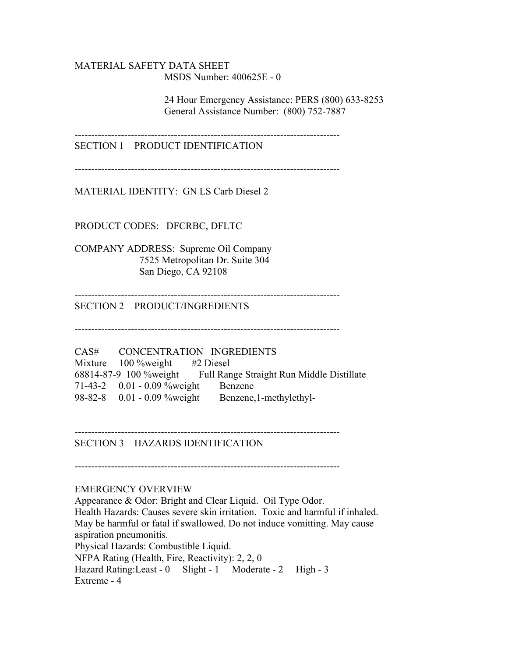### MATERIAL SAFETY DATA SHEET MSDS Number: 400625E - 0

 24 Hour Emergency Assistance: PERS (800) 633-8253 General Assistance Number: (800) 752-7887

--------------------------------------------------------------------------------

SECTION 1 PRODUCT IDENTIFICATION

--------------------------------------------------------------------------------

MATERIAL IDENTITY: GN LS Carb Diesel 2

PRODUCT CODES: DFCRBC, DFLTC

COMPANY ADDRESS: Supreme Oil Company 7525 Metropolitan Dr. Suite 304 San Diego, CA 92108

-------------------------------------------------------------------------------- SECTION 2 PRODUCT/INGREDIENTS

--------------------------------------------------------------------------------

CAS# CONCENTRATION INGREDIENTS Mixture 100 %weight #2 Diesel 68814-87-9 100 %weight Full Range Straight Run Middle Distillate 71-43-2 0.01 - 0.09 %weight Benzene 98-82-8 0.01 - 0.09 %weight Benzene,1-methylethyl-

-------------------------------------------------------------------------------- SECTION 3 HAZARDS IDENTIFICATION

--------------------------------------------------------------------------------

#### EMERGENCY OVERVIEW

Appearance & Odor: Bright and Clear Liquid. Oil Type Odor. Health Hazards: Causes severe skin irritation. Toxic and harmful if inhaled. May be harmful or fatal if swallowed. Do not induce vomitting. May cause aspiration pneumonitis. Physical Hazards: Combustible Liquid. NFPA Rating (Health, Fire, Reactivity): 2, 2, 0 Hazard Rating: Least - 0 Slight - 1 Moderate - 2 High - 3 Extreme - 4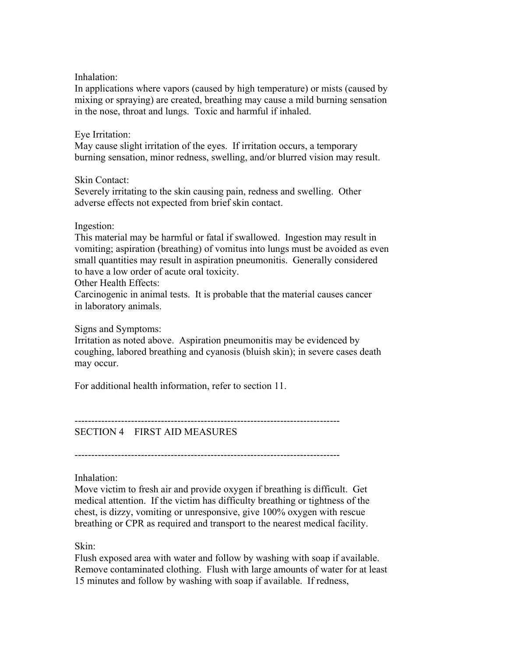Inhalation:

In applications where vapors (caused by high temperature) or mists (caused by mixing or spraying) are created, breathing may cause a mild burning sensation in the nose, throat and lungs. Toxic and harmful if inhaled.

#### Eye Irritation:

May cause slight irritation of the eyes. If irritation occurs, a temporary burning sensation, minor redness, swelling, and/or blurred vision may result.

Skin Contact:

Severely irritating to the skin causing pain, redness and swelling. Other adverse effects not expected from brief skin contact.

#### Ingestion:

This material may be harmful or fatal if swallowed. Ingestion may result in vomiting; aspiration (breathing) of vomitus into lungs must be avoided as even small quantities may result in aspiration pneumonitis. Generally considered to have a low order of acute oral toxicity.

Other Health Effects:

Carcinogenic in animal tests. It is probable that the material causes cancer in laboratory animals.

Signs and Symptoms:

Irritation as noted above. Aspiration pneumonitis may be evidenced by coughing, labored breathing and cyanosis (bluish skin); in severe cases death may occur.

For additional health information, refer to section 11.

--------------------------------------------------------------------------------

SECTION 4 FIRST AID MEASURES

--------------------------------------------------------------------------------

Inhalation:

Move victim to fresh air and provide oxygen if breathing is difficult. Get medical attention. If the victim has difficulty breathing or tightness of the chest, is dizzy, vomiting or unresponsive, give 100% oxygen with rescue breathing or CPR as required and transport to the nearest medical facility.

### Skin:

Flush exposed area with water and follow by washing with soap if available. Remove contaminated clothing. Flush with large amounts of water for at least 15 minutes and follow by washing with soap if available. If redness,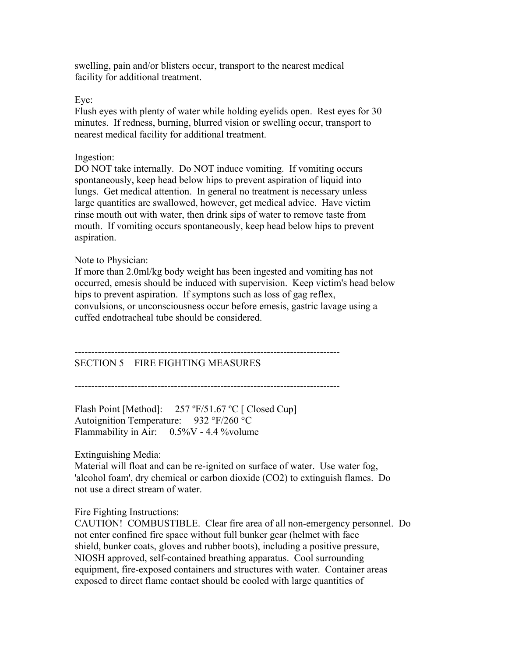swelling, pain and/or blisters occur, transport to the nearest medical facility for additional treatment.

Eye:

Flush eyes with plenty of water while holding eyelids open. Rest eyes for 30 minutes. If redness, burning, blurred vision or swelling occur, transport to nearest medical facility for additional treatment.

### Ingestion:

DO NOT take internally. Do NOT induce vomiting. If vomiting occurs spontaneously, keep head below hips to prevent aspiration of liquid into lungs. Get medical attention. In general no treatment is necessary unless large quantities are swallowed, however, get medical advice. Have victim rinse mouth out with water, then drink sips of water to remove taste from mouth. If vomiting occurs spontaneously, keep head below hips to prevent aspiration.

### Note to Physician:

If more than 2.0ml/kg body weight has been ingested and vomiting has not occurred, emesis should be induced with supervision. Keep victim's head below hips to prevent aspiration. If symptons such as loss of gag reflex, convulsions, or unconsciousness occur before emesis, gastric lavage using a cuffed endotracheal tube should be considered.

# SECTION 5 FIRE FIGHTING MEASURES

--------------------------------------------------------------------------------

--------------------------------------------------------------------------------

Flash Point [Method]: 257 °F/51.67 °C [ Closed Cup] Autoignition Temperature: 932 °F/260 °C Flammability in Air: 0.5%V - 4.4 %volume

Extinguishing Media:

Material will float and can be re-ignited on surface of water. Use water fog, 'alcohol foam', dry chemical or carbon dioxide (CO2) to extinguish flames. Do not use a direct stream of water.

#### Fire Fighting Instructions:

CAUTION! COMBUSTIBLE. Clear fire area of all non-emergency personnel. Do not enter confined fire space without full bunker gear (helmet with face shield, bunker coats, gloves and rubber boots), including a positive pressure, NIOSH approved, self-contained breathing apparatus. Cool surrounding equipment, fire-exposed containers and structures with water. Container areas exposed to direct flame contact should be cooled with large quantities of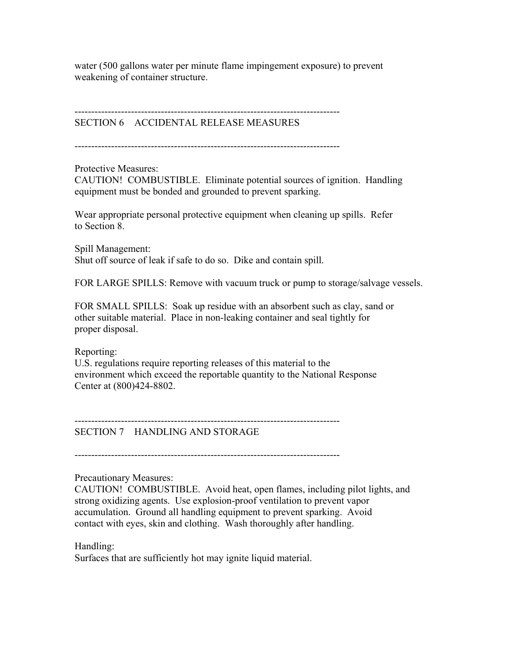water (500 gallons water per minute flame impingement exposure) to prevent weakening of container structure.

--------------------------------------------------------------------------------

SECTION 6 ACCIDENTAL RELEASE MEASURES

--------------------------------------------------------------------------------

Protective Measures:

CAUTION! COMBUSTIBLE. Eliminate potential sources of ignition. Handling equipment must be bonded and grounded to prevent sparking.

Wear appropriate personal protective equipment when cleaning up spills. Refer to Section 8.

Spill Management: Shut off source of leak if safe to do so. Dike and contain spill.

FOR LARGE SPILLS: Remove with vacuum truck or pump to storage/salvage vessels.

FOR SMALL SPILLS: Soak up residue with an absorbent such as clay, sand or other suitable material. Place in non-leaking container and seal tightly for proper disposal.

Reporting:

U.S. regulations require reporting releases of this material to the environment which exceed the reportable quantity to the National Response Center at (800)424-8802.

--------------------------------------------------------------------------------

SECTION 7 HANDLING AND STORAGE

--------------------------------------------------------------------------------

Precautionary Measures:

CAUTION! COMBUSTIBLE. Avoid heat, open flames, including pilot lights, and strong oxidizing agents. Use explosion-proof ventilation to prevent vapor accumulation. Ground all handling equipment to prevent sparking. Avoid contact with eyes, skin and clothing. Wash thoroughly after handling.

# Handling:

Surfaces that are sufficiently hot may ignite liquid material.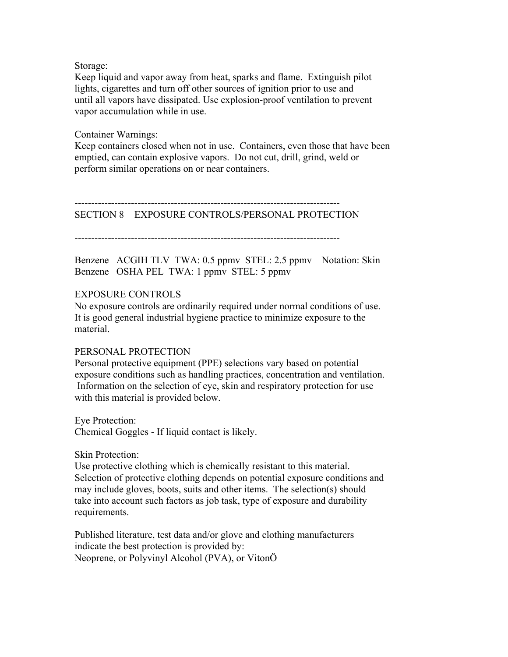Storage:

Keep liquid and vapor away from heat, sparks and flame. Extinguish pilot lights, cigarettes and turn off other sources of ignition prior to use and until all vapors have dissipated. Use explosion-proof ventilation to prevent vapor accumulation while in use.

Container Warnings:

Keep containers closed when not in use. Containers, even those that have been emptied, can contain explosive vapors. Do not cut, drill, grind, weld or perform similar operations on or near containers.

--------------------------------------------------------------------------------

SECTION 8 EXPOSURE CONTROLS/PERSONAL PROTECTION

--------------------------------------------------------------------------------

Benzene ACGIH TLV TWA: 0.5 ppmv STEL: 2.5 ppmv Notation: Skin Benzene OSHA PEL TWA: 1 ppmv STEL: 5 ppmv

#### EXPOSURE CONTROLS

No exposure controls are ordinarily required under normal conditions of use. It is good general industrial hygiene practice to minimize exposure to the material.

#### PERSONAL PROTECTION

Personal protective equipment (PPE) selections vary based on potential exposure conditions such as handling practices, concentration and ventilation. Information on the selection of eye, skin and respiratory protection for use with this material is provided below.

Eye Protection: Chemical Goggles - If liquid contact is likely.

Skin Protection:

Use protective clothing which is chemically resistant to this material. Selection of protective clothing depends on potential exposure conditions and may include gloves, boots, suits and other items. The selection(s) should take into account such factors as job task, type of exposure and durability requirements.

Published literature, test data and/or glove and clothing manufacturers indicate the best protection is provided by: Neoprene, or Polyvinyl Alcohol (PVA), or VitonÖ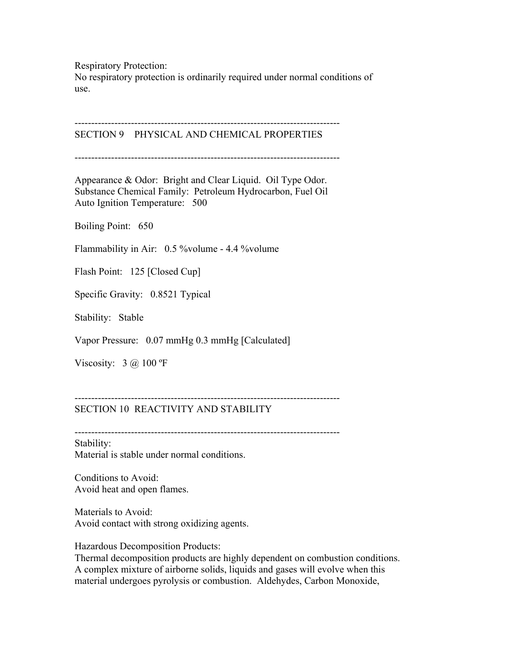Respiratory Protection:

No respiratory protection is ordinarily required under normal conditions of use.

-------------------------------------------------------------------------------- SECTION 9 PHYSICAL AND CHEMICAL PROPERTIES

--------------------------------------------------------------------------------

Appearance & Odor: Bright and Clear Liquid. Oil Type Odor. Substance Chemical Family: Petroleum Hydrocarbon, Fuel Oil Auto Ignition Temperature: 500

Boiling Point: 650

Flammability in Air: 0.5 %volume - 4.4 %volume

Flash Point: 125 [Closed Cup]

Specific Gravity: 0.8521 Typical

Stability: Stable

Vapor Pressure: 0.07 mmHg 0.3 mmHg [Calculated]

Viscosity:  $3 \text{ (a)} 100 \text{ °F}$ 

### SECTION 10 REACTIVITY AND STABILITY

--------------------------------------------------------------------------------

Stability: Material is stable under normal conditions.

Conditions to Avoid: Avoid heat and open flames.

Materials to Avoid: Avoid contact with strong oxidizing agents.

Hazardous Decomposition Products:

Thermal decomposition products are highly dependent on combustion conditions. A complex mixture of airborne solids, liquids and gases will evolve when this material undergoes pyrolysis or combustion. Aldehydes, Carbon Monoxide,

--------------------------------------------------------------------------------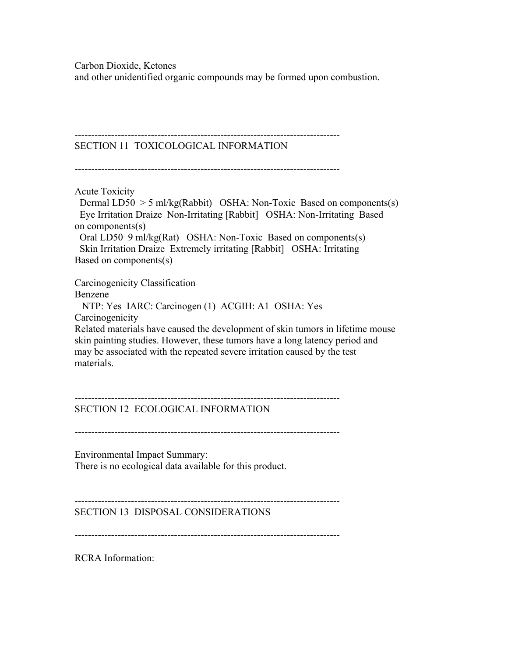Carbon Dioxide, Ketones

and other unidentified organic compounds may be formed upon combustion.

--------------------------------------------------------------------------------

# SECTION 11 TOXICOLOGICAL INFORMATION

--------------------------------------------------------------------------------

Acute Toxicity

Dermal LD50  $>$  5 ml/kg(Rabbit) OSHA: Non-Toxic Based on components(s) Eye Irritation Draize Non-Irritating [Rabbit] OSHA: Non-Irritating Based on components(s)

 Oral LD50 9 ml/kg(Rat) OSHA: Non-Toxic Based on components(s) Skin Irritation Draize Extremely irritating [Rabbit] OSHA: Irritating Based on components(s)

Carcinogenicity Classification Benzene NTP: Yes IARC: Carcinogen (1) ACGIH: A1 OSHA: Yes **Carcinogenicity** Related materials have caused the development of skin tumors in lifetime mouse skin painting studies. However, these tumors have a long latency period and may be associated with the repeated severe irritation caused by the test materials.

#### -------------------------------------------------------------------------------- SECTION 12 ECOLOGICAL INFORMATION

--------------------------------------------------------------------------------

Environmental Impact Summary: There is no ecological data available for this product.

SECTION 13 DISPOSAL CONSIDERATIONS

--------------------------------------------------------------------------------

--------------------------------------------------------------------------------

RCRA Information: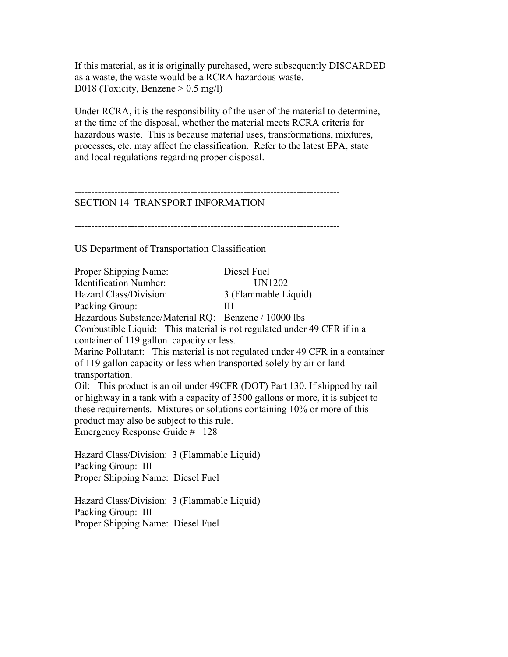If this material, as it is originally purchased, were subsequently DISCARDED as a waste, the waste would be a RCRA hazardous waste. D018 (Toxicity, Benzene  $> 0.5$  mg/l)

Under RCRA, it is the responsibility of the user of the material to determine, at the time of the disposal, whether the material meets RCRA criteria for hazardous waste. This is because material uses, transformations, mixtures, processes, etc. may affect the classification. Refer to the latest EPA, state and local regulations regarding proper disposal.

#### -------------------------------------------------------------------------------- SECTION 14 TRANSPORT INFORMATION

--------------------------------------------------------------------------------

US Department of Transportation Classification

Proper Shipping Name: Diesel Fuel Identification Number: UN1202 Hazard Class/Division: 3 (Flammable Liquid) Packing Group: III Hazardous Substance/Material RQ: Benzene / 10000 lbs Combustible Liquid: This material is not regulated under 49 CFR if in a container of 119 gallon capacity or less. Marine Pollutant: This material is not regulated under 49 CFR in a container of 119 gallon capacity or less when transported solely by air or land transportation. Oil: This product is an oil under 49CFR (DOT) Part 130. If shipped by rail or highway in a tank with a capacity of 3500 gallons or more, it is subject to these requirements. Mixtures or solutions containing 10% or more of this product may also be subject to this rule. Emergency Response Guide # 128 Hazard Class/Division: 3 (Flammable Liquid) Packing Group: III Proper Shipping Name: Diesel Fuel

Hazard Class/Division: 3 (Flammable Liquid) Packing Group: III Proper Shipping Name: Diesel Fuel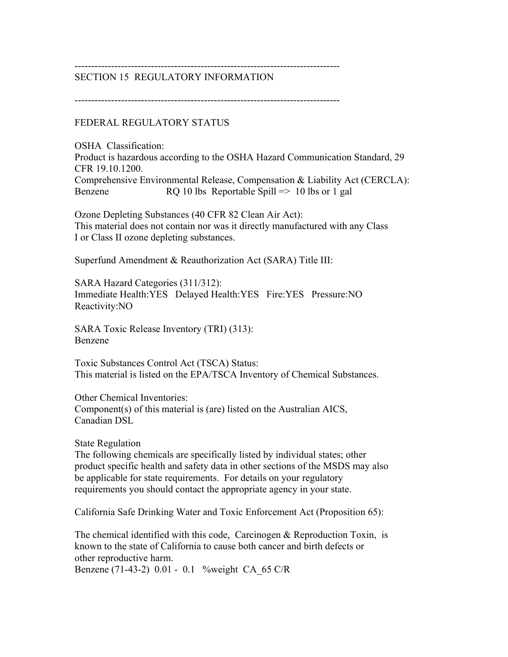#### -------------------------------------------------------------------------------- SECTION 15 REGULATORY INFORMATION

--------------------------------------------------------------------------------

FEDERAL REGULATORY STATUS

OSHA Classification: Product is hazardous according to the OSHA Hazard Communication Standard, 29 CFR 19.10.1200. Comprehensive Environmental Release, Compensation & Liability Act (CERCLA): Benzene RQ 10 lbs Reportable Spill => 10 lbs or 1 gal

Ozone Depleting Substances (40 CFR 82 Clean Air Act): This material does not contain nor was it directly manufactured with any Class I or Class II ozone depleting substances.

Superfund Amendment & Reauthorization Act (SARA) Title III:

SARA Hazard Categories (311/312): Immediate Health:YES Delayed Health:YES Fire:YES Pressure:NO Reactivity:NO

SARA Toxic Release Inventory (TRI) (313): Benzene

Toxic Substances Control Act (TSCA) Status: This material is listed on the EPA/TSCA Inventory of Chemical Substances.

Other Chemical Inventories: Component(s) of this material is (are) listed on the Australian AICS, Canadian DSL

State Regulation

The following chemicals are specifically listed by individual states; other product specific health and safety data in other sections of the MSDS may also be applicable for state requirements. For details on your regulatory requirements you should contact the appropriate agency in your state.

California Safe Drinking Water and Toxic Enforcement Act (Proposition 65):

The chemical identified with this code, Carcinogen & Reproduction Toxin, is known to the state of California to cause both cancer and birth defects or other reproductive harm. Benzene (71-43-2) 0.01 - 0.1 %weight CA\_65 C/R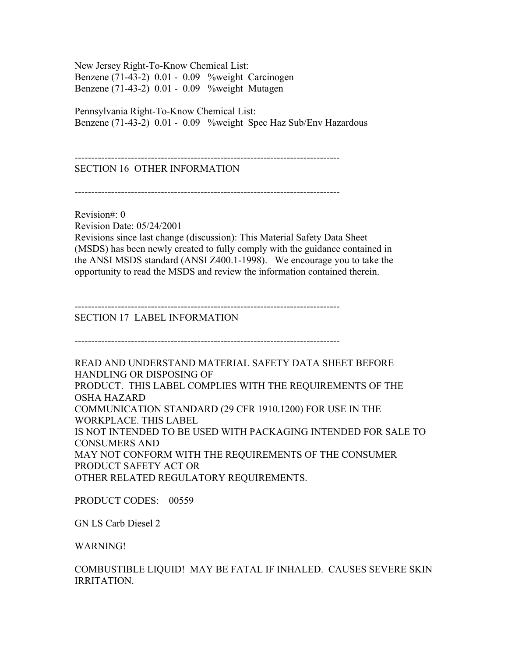New Jersey Right-To-Know Chemical List: Benzene (71-43-2) 0.01 - 0.09 %weight Carcinogen Benzene (71-43-2) 0.01 - 0.09 %weight Mutagen

Pennsylvania Right-To-Know Chemical List: Benzene (71-43-2) 0.01 - 0.09 %weight Spec Haz Sub/Env Hazardous

--------------------------------------------------------------------------------

# SECTION 16 OTHER INFORMATION

--------------------------------------------------------------------------------

Revision#: 0 Revision Date: 05/24/2001 Revisions since last change (discussion): This Material Safety Data Sheet (MSDS) has been newly created to fully comply with the guidance contained in the ANSI MSDS standard (ANSI Z400.1-1998). We encourage you to take the opportunity to read the MSDS and review the information contained therein.

--------------------------------------------------------------------------------

SECTION 17 LABEL INFORMATION

--------------------------------------------------------------------------------

READ AND UNDERSTAND MATERIAL SAFETY DATA SHEET BEFORE HANDLING OR DISPOSING OF PRODUCT. THIS LABEL COMPLIES WITH THE REQUIREMENTS OF THE OSHA HAZARD COMMUNICATION STANDARD (29 CFR 1910.1200) FOR USE IN THE WORKPLACE. THIS LABEL IS NOT INTENDED TO BE USED WITH PACKAGING INTENDED FOR SALE TO CONSUMERS AND MAY NOT CONFORM WITH THE REQUIREMENTS OF THE CONSUMER PRODUCT SAFETY ACT OR OTHER RELATED REGULATORY REQUIREMENTS.

PRODUCT CODES: 00559

GN LS Carb Diesel 2

WARNING!

COMBUSTIBLE LIQUID! MAY BE FATAL IF INHALED. CAUSES SEVERE SKIN IRRITATION.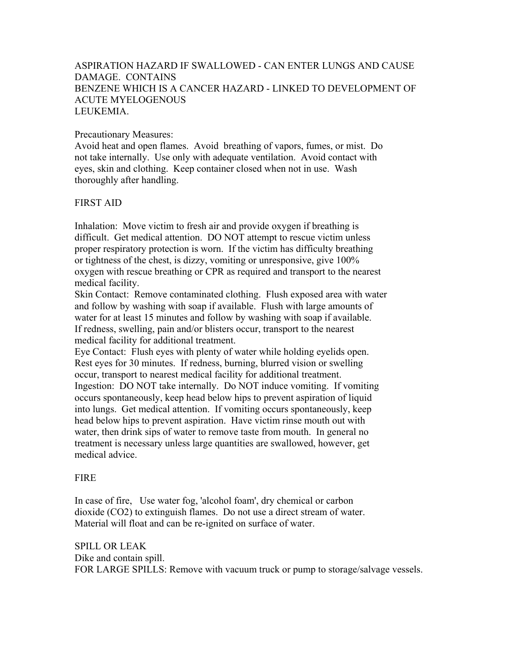# ASPIRATION HAZARD IF SWALLOWED - CAN ENTER LUNGS AND CAUSE DAMAGE. CONTAINS BENZENE WHICH IS A CANCER HAZARD - LINKED TO DEVELOPMENT OF ACUTE MYELOGENOUS **LEUKEMIA**

### Precautionary Measures:

Avoid heat and open flames. Avoid breathing of vapors, fumes, or mist. Do not take internally. Use only with adequate ventilation. Avoid contact with eyes, skin and clothing. Keep container closed when not in use. Wash thoroughly after handling.

## FIRST AID

Inhalation: Move victim to fresh air and provide oxygen if breathing is difficult. Get medical attention. DO NOT attempt to rescue victim unless proper respiratory protection is worn. If the victim has difficulty breathing or tightness of the chest, is dizzy, vomiting or unresponsive, give 100% oxygen with rescue breathing or CPR as required and transport to the nearest medical facility.

Skin Contact: Remove contaminated clothing. Flush exposed area with water and follow by washing with soap if available. Flush with large amounts of water for at least 15 minutes and follow by washing with soap if available. If redness, swelling, pain and/or blisters occur, transport to the nearest medical facility for additional treatment.

Eye Contact: Flush eyes with plenty of water while holding eyelids open. Rest eyes for 30 minutes. If redness, burning, blurred vision or swelling occur, transport to nearest medical facility for additional treatment. Ingestion: DO NOT take internally. Do NOT induce vomiting. If vomiting occurs spontaneously, keep head below hips to prevent aspiration of liquid into lungs. Get medical attention. If vomiting occurs spontaneously, keep head below hips to prevent aspiration. Have victim rinse mouth out with water, then drink sips of water to remove taste from mouth. In general no treatment is necessary unless large quantities are swallowed, however, get medical advice.

### FIRE

In case of fire, Use water fog, 'alcohol foam', dry chemical or carbon dioxide (CO2) to extinguish flames. Do not use a direct stream of water. Material will float and can be re-ignited on surface of water.

SPILL OR LEAK Dike and contain spill. FOR LARGE SPILLS: Remove with vacuum truck or pump to storage/salvage vessels.